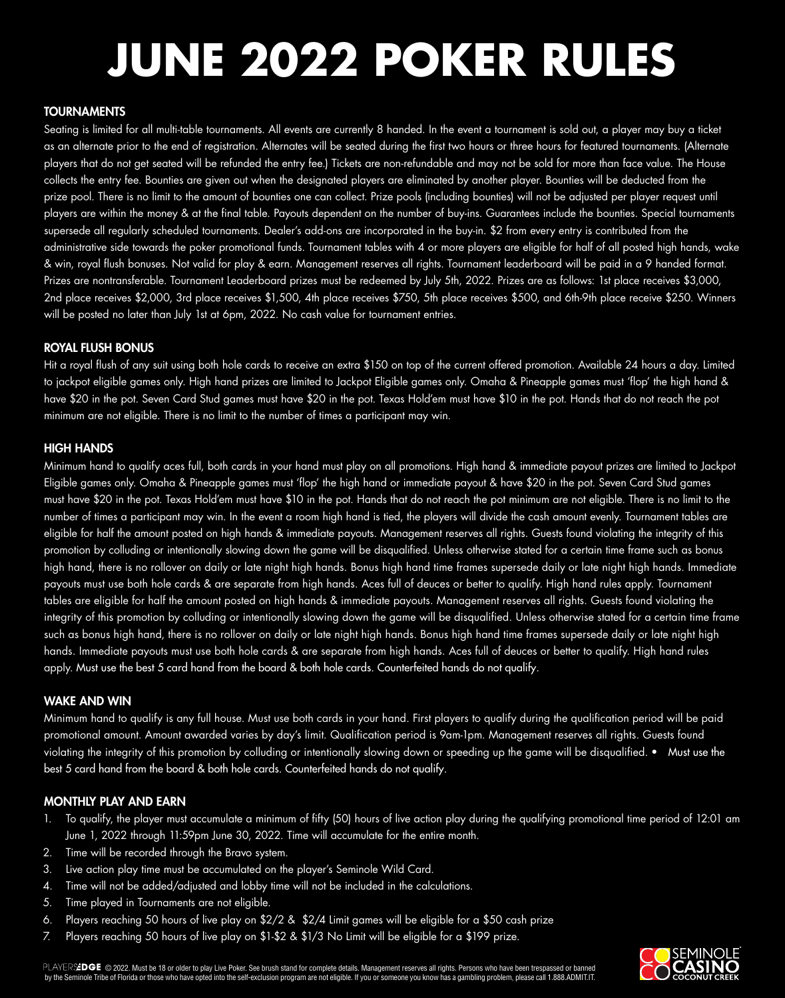$PLAYER\AA$ DGE  $\odot$  2022. Must be 18 or older to play Live Poker. See brush stand for complete details. Management reserves all rights. Persons who have been trespassed or banned by the Seminole Tribe of Florida or those who have opted into the self-exclusion program are not eligible. If you or someone you know has a gambling problem, please call 1.888.ADMIT.IT.



#### TOURNAMENTS

Seating is limited for all multi-table tournaments. All events are currently 8 handed. In the event a tournament is sold out, a player may buy a ticket as an alternate prior to the end of registration. Alternates will be seated during the first two hours or three hours for featured tournaments. (Alternate players that do not get seated will be refunded the entry fee.) Tickets are non-refundable and may not be sold for more than face value. The House collects the entry fee. Bounties are given out when the designated players are eliminated by another player. Bounties will be deducted from the prize pool. There is no limit to the amount of bounties one can collect. Prize pools (including bounties) will not be adjusted per player request until players are within the money & at the final table. Payouts dependent on the number of buy-ins. Guarantees include the bounties. Special tournaments supersede all regularly scheduled tournaments. Dealer's add-ons are incorporated in the buy-in. \$2 from every entry is contributed from the administrative side towards the poker promotional funds. Tournament tables with 4 or more players are eligible for half of all posted high hands, wake & win, royal flush bonuses. Not valid for play & earn. Management reserves all rights. Tournament leaderboard will be paid in a 9 handed format. Prizes are nontransferable. Tournament Leaderboard prizes must be redeemed by July 5th, 2022. Prizes are as follows: 1st place receives \$3,000, 2nd place receives \$2,000, 3rd place receives \$1,500, 4th place receives \$750, 5th place receives \$500, and 6th-9th place receive \$250. Winners will be posted no later than July 1st at 6pm, 2022. No cash value for tournament entries.

#### ROYAL FLUSH BONUS

Hit a royal flush of any suit using both hole cards to receive an extra \$150 on top of the current offered promotion. Available 24 hours a day. Limited to jackpot eligible games only. High hand prizes are limited to Jackpot Eligible games only. Omaha & Pineapple games must 'flop' the high hand & have \$20 in the pot. Seven Card Stud games must have \$20 in the pot. Texas Hold'em must have \$10 in the pot. Hands that do not reach the pot minimum are not eligible. There is no limit to the number of times a participant may win.

#### HIGH HANDS

Minimum hand to qualify aces full, both cards in your hand must play on all promotions. High hand & immediate payout prizes are limited to Jackpot Eligible games only. Omaha & Pineapple games must 'flop' the high hand or immediate payout & have \$20 in the pot. Seven Card Stud games must have \$20 in the pot. Texas Hold'em must have \$10 in the pot. Hands that do not reach the pot minimum are not eligible. There is no limit to the number of times a participant may win. In the event a room high hand is tied, the players will divide the cash amount evenly. Tournament tables are eligible for half the amount posted on high hands & immediate payouts. Management reserves all rights. Guests found violating the integrity of this promotion by colluding or intentionally slowing down the game will be disqualified. Unless otherwise stated for a certain time frame such as bonus high hand, there is no rollover on daily or late night high hands. Bonus high hand time frames supersede daily or late night high hands. Immediate payouts must use both hole cards & are separate from high hands. Aces full of deuces or better to qualify. High hand rules apply. Tournament tables are eligible for half the amount posted on high hands & immediate payouts. Management reserves all rights. Guests found violating the integrity of this promotion by colluding or intentionally slowing down the game will be disqualified. Unless otherwise stated for a certain time frame such as bonus high hand, there is no rollover on daily or late night high hands. Bonus high hand time frames supersede daily or late night high hands. Immediate payouts must use both hole cards & are separate from high hands. Aces full of deuces or better to qualify. High hand rules apply. Must use the best 5 card hand from the board & both hole cards. Counterfeited hands do not qualify.

#### WAKE AND WIN

Minimum hand to qualify is any full house. Must use both cards in your hand. First players to qualify during the qualification period will be paid promotional amount. Amount awarded varies by day's limit. Qualification period is 9am-1pm. Management reserves all rights. Guests found violating the integrity of this promotion by colluding or intentionally slowing down or speeding up the game will be disqualified. • Must use the best 5 card hand from the board & both hole cards. Counterfeited hands do not qualify.

### MONTHLY PLAY AND EARN

- 1. To qualify, the player must accumulate a minimum of fifty (50) hours of live action play during the qualifying promotional time period of 12:01 am June 1, 2022 through 11:59pm June 30, 2022. Time will accumulate for the entire month.
- 2. Time will be recorded through the Bravo system.
- 3. Live action play time must be accumulated on the player's Seminole Wild Card.
- 4. Time will not be added/adjusted and lobby time will not be included in the calculations.

#### 5. Time played in Tournaments are not eligible.

6. Players reaching 50 hours of live play on \$2/2 & \$2/4 Limit games will be eligible for a \$50 cash prize

7. Players reaching 50 hours of live play on \$1-\$2 & \$1/3 No Limit will be eligible for a \$199 prize.

# **JUNE 2022 POKER RULES**